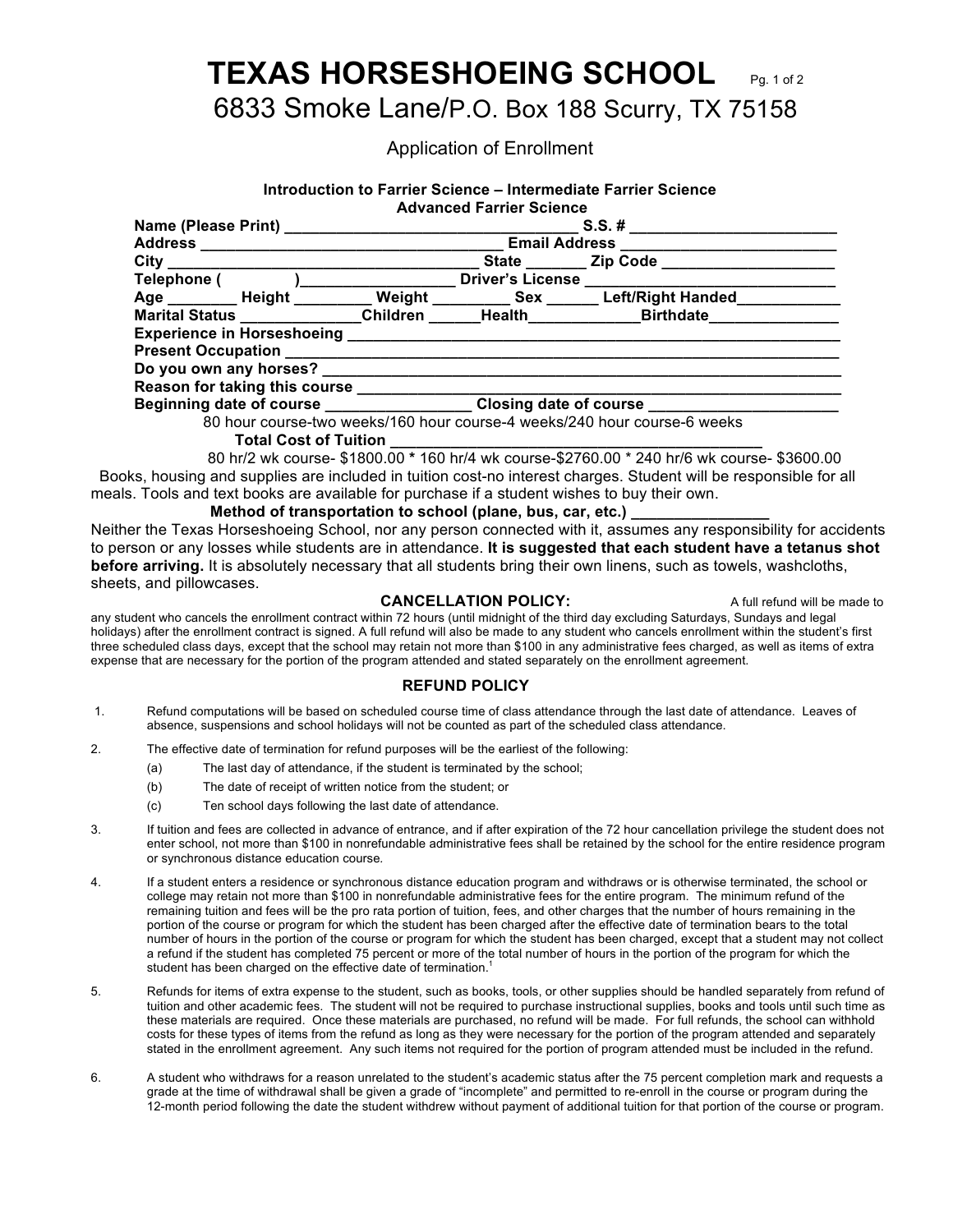# **TEXAS HORSESHOEING SCHOOL** Pg. 1 of 2

## 6833 Smoke Lane/P.O. Box 188 Scurry, TX 75158

### Application of Enrollment

#### **Introduction to Farrier Science – Intermediate Farrier Science Advanced Farrier Science**

| Address _________________________ |                               | $S.S.$ # |                                                                   |                                                                                                         |        |
|-----------------------------------|-------------------------------|----------|-------------------------------------------------------------------|---------------------------------------------------------------------------------------------------------|--------|
|                                   |                               |          |                                                                   |                                                                                                         |        |
|                                   |                               |          |                                                                   |                                                                                                         |        |
|                                   | Telephone ( )________________ |          |                                                                   | Driver's License ________________________________                                                       |        |
|                                   |                               |          |                                                                   | Age _________ Height __________ Weight __________ Sex _______ Left/Right Handed ____________            |        |
|                                   |                               |          |                                                                   | Marital Status _____________Children ______Health______________Birthdate________                        |        |
|                                   |                               |          |                                                                   |                                                                                                         |        |
|                                   |                               |          |                                                                   |                                                                                                         |        |
|                                   |                               |          |                                                                   |                                                                                                         |        |
|                                   |                               |          |                                                                   |                                                                                                         |        |
|                                   |                               |          | Beginning date of course __________________Closing date of course |                                                                                                         |        |
|                                   |                               |          |                                                                   | 80 hour course-two weeks/160 hour course-4 weeks/240 hour course-6 weeks                                |        |
|                                   | Total Cost of Tuition         |          |                                                                   |                                                                                                         |        |
|                                   |                               |          |                                                                   | $0.01 \times 10^{-1}$ $\ldots$ $0.400000044001 \times 11^{-1}$ $\ldots$ $0.700000040401 \times 10^{-1}$ | $\sim$ |

 80 hr/2 wk course- \$1800.00 **\*** 160 hr/4 wk course-\$2760.00 \* 240 hr/6 wk course- \$3600.00 Books, housing and supplies are included in tuition cost-no interest charges. Student will be responsible for all meals. Tools and text books are available for purchase if a student wishes to buy their own.

#### **Method of transportation to school (plane, bus, car, etc.)**

Neither the Texas Horseshoeing School, nor any person connected with it, assumes any responsibility for accidents to person or any losses while students are in attendance. **It is suggested that each student have a tetanus shot before arriving.** It is absolutely necessary that all students bring their own linens, such as towels, washcloths, sheets, and pillowcases.

#### **CANCELLATION POLICY:** A full refund will be made to

any student who cancels the enrollment contract within 72 hours (until midnight of the third day excluding Saturdays, Sundays and legal holidays) after the enrollment contract is signed. A full refund will also be made to any student who cancels enrollment within the student's first three scheduled class days, except that the school may retain not more than \$100 in any administrative fees charged, as well as items of extra expense that are necessary for the portion of the program attended and stated separately on the enrollment agreement.

#### **REFUND POLICY**

- 1. Refund computations will be based on scheduled course time of class attendance through the last date of attendance. Leaves of absence, suspensions and school holidays will not be counted as part of the scheduled class attendance.
- 2. The effective date of termination for refund purposes will be the earliest of the following:
	- (a) The last day of attendance, if the student is terminated by the school;
	- (b) The date of receipt of written notice from the student; or
	- (c) Ten school days following the last date of attendance.
- 3. If tuition and fees are collected in advance of entrance, and if after expiration of the 72 hour cancellation privilege the student does not enter school, not more than \$100 in nonrefundable administrative fees shall be retained by the school for the entire residence program or synchronous distance education course*.*
- 4. If a student enters a residence or synchronous distance education program and withdraws or is otherwise terminated, the school or college may retain not more than \$100 in nonrefundable administrative fees for the entire program. The minimum refund of the remaining tuition and fees will be the pro rata portion of tuition, fees, and other charges that the number of hours remaining in the portion of the course or program for which the student has been charged after the effective date of termination bears to the total number of hours in the portion of the course or program for which the student has been charged, except that a student may not collect a refund if the student has completed 75 percent or more of the total number of hours in the portion of the program for which the student has been charged on the effective date of termination.<sup>1</sup>
- 5. Refunds for items of extra expense to the student, such as books, tools, or other supplies should be handled separately from refund of tuition and other academic fees. The student will not be required to purchase instructional supplies, books and tools until such time as these materials are required. Once these materials are purchased, no refund will be made. For full refunds, the school can withhold costs for these types of items from the refund as long as they were necessary for the portion of the program attended and separately stated in the enrollment agreement. Any such items not required for the portion of program attended must be included in the refund.
- 6. A student who withdraws for a reason unrelated to the student's academic status after the 75 percent completion mark and requests a grade at the time of withdrawal shall be given a grade of "incomplete" and permitted to re-enroll in the course or program during the 12-month period following the date the student withdrew without payment of additional tuition for that portion of the course or program.